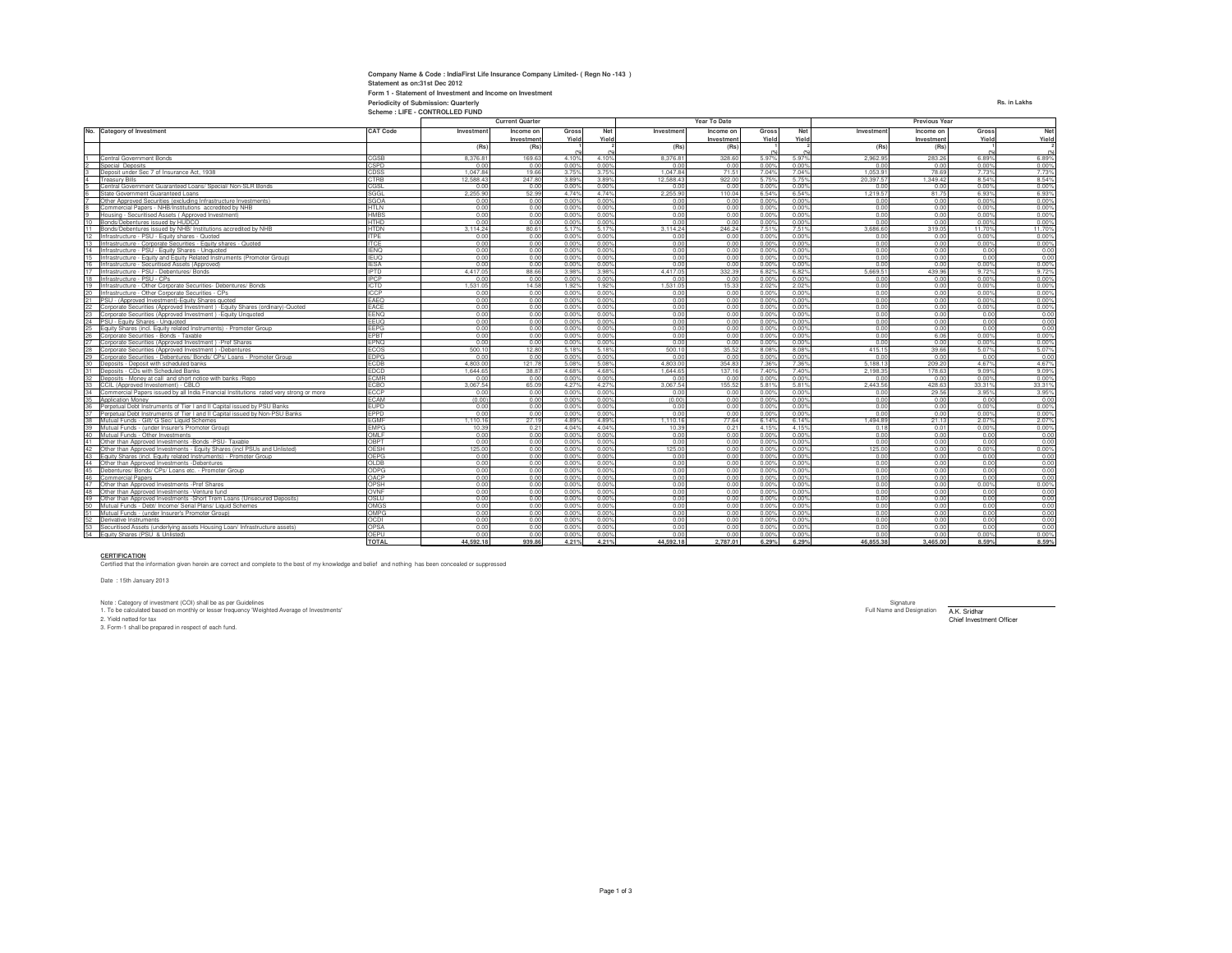| Company Name & Code : IndiaFirst Life Insurance Company Limited- (Regn No -143) |              |
|---------------------------------------------------------------------------------|--------------|
| Statement as on:31st Dec 2012                                                   |              |
| Form 1 - Statement of Investment and Income on Investment                       |              |
| Periodicity of Submission: Quarterly                                            | Rs. in Lakhs |
| Scheme: LIFE - CONTROLLED FUND                                                  |              |

|                                                                                                                         |                     | <b>Current Quarter</b> |              |                |                | <b>Year To Date</b> |              |                | <b>Previous Year</b>    |              |              |              |              |
|-------------------------------------------------------------------------------------------------------------------------|---------------------|------------------------|--------------|----------------|----------------|---------------------|--------------|----------------|-------------------------|--------------|--------------|--------------|--------------|
| No.<br><b>Category of Investment</b>                                                                                    | <b>CAT Code</b>     | Investment             | Income on    | Gross          | Net            | Investment          | Income on    | Gross          | Net                     | Investment   | Income on    | Gross        | Net          |
|                                                                                                                         |                     |                        | Investment   | Yield          | Yield          |                     | Investment   | Yield          | Yield                   |              | Investment   | Yield        | Yield        |
|                                                                                                                         |                     | (Rs)                   | (Rs)         |                |                | (Rs)                | (Rs)         |                |                         | (Rs)         | (Rs)         |              |              |
| Central Government Bonds                                                                                                | CGSB                | 8,376.8                | 169.6        | 4.10%          | 4.10%          | 8.376.81            | 328.60       | 5.97%          | 5.97%                   | 2.962.9      | 283.26       | 6.89%        | 6.89%        |
| Special Deposits                                                                                                        | CSPD                | 0.00                   | 0.00         | 0.00%          | 0.00%          | 0.00                | 0.00         | 0.00%          | 0.00%                   | 0.00         | 0.00         | 0.00%        | 0.00%        |
| Deposit under Sec 7 of Insurance Act, 1938                                                                              | CDSS                | 1.047.84               | 19.66        | 3.75%          | 3.75%          | 1.047.84            | 71.51        | 7.04%          | 7.04%                   | 1.053.91     | 78.69        | 7.73%        | 7.73%        |
| <b>Treasury Bills</b>                                                                                                   | CTRB                | 12.588.43              | 247.80       | 3.89%          | 3.89%          | 12,588.43           | 922.00       | 5.75%          | 5.75%                   | 20.397.57    | 1.349.42     | 8.54%        | 8.54%        |
| Central Government Guaranteed Loans/ Special/ Non-SLR Bonds                                                             | CGSI                | 0.00                   | 0.00         | 0.009          | 0.00%          | 0.00                | 0.00         | 0.00%          | 0.00%                   | 0.00         | 0.00         | 0.00%        | 0.00%        |
| State Government Guaranteed Loans                                                                                       | SGGL                | 2,255.90               | 52.99        | 4.74%          | 4.74%          | 2.255.90            | 110.04       | 6.54%          | 6.54%                   | 1.219.57     | 81.75        | 6.93%        | 6.93%        |
| Other Approved Securities (excluding Infrastructure Investments)                                                        | SGOA                | 0.00                   | 0.00         | 0.00%          | 0.00%          | 0.00                | 0.00         | 0.00%          | 0.00%                   | 0.00         | 0.00         | 0.00%        | 0.00%        |
| Commercial Papers - NHB/Institutions accredited by NHB                                                                  | HTLN                | 0.00                   | 0.00         | 0.00           | 0.00%          | 0.00                | 0.00         | 0.00%          | 0.00%                   | 0.00         | 0.00         | 0.00%        | 0.00%        |
| Housing - Securitised Assets (Approved Investment)                                                                      | <b>HMBS</b>         | 0.00                   | 0.00         | 0.00%          | 0.00%          | 0.00                | 0.00         | 0.00%          | 0.009                   | 0.00         | 0.00         | 0.00%        | 0.00%        |
| Bonds/Debentures issued by HUDCO                                                                                        | HTHD                | 0.00                   | 0.00         | $0.00^{\circ}$ | 0.00%          | 0.00                | 0.00         | 0.00           | $0.00^{\circ}$          | 0.00         | 0.00         | 0.00%        | 0.00%        |
| 11<br>Bonds/Debentures issued by NHB/ Institutions accredited by NHB                                                    | <b>HTDN</b>         | 3 114 24               | 80.61        | 5.17%          | 5.17%          | 3 114 24            | 246.24       | 7.51%          | 7.51%                   | 3.686.60     | 319.05       | 11.70%       | 11.70%       |
| 12<br>Infrastructure - PSU - Equity shares - Quoted                                                                     | <b>ITPE</b>         | 0.00                   | 0.00         | 0.00           | 0.00%          | 0.00                | 0.00         | 0.00%          | 0.00%                   | 0.00         | 0.00         | 0.00%        | 0.00%        |
| 13<br>Infrastructure - Corporate Securities - Equity shares - Quoted                                                    | <b>ITCF</b>         | 0.00                   | 0.00         | 0.00%          | 0.00%          | 0.00                | 0.00         | 0.00%          | 0.00%                   | 0.00         | 0.00         | 0.00%        | 0.00%        |
| 14<br>Infrastructure - PSU - Equity Shares - Unquoted                                                                   | <b>IENO</b>         | 0.00                   | 0.00         | 0.00           | 0.00%          | 0.00                | 0.00         | 0.00%          | 0.009                   | 0.00         | 0.00         | 0.00         | 0.00         |
| 15<br>Infrastructure - Equity and Equity Related Instruments (Promoter Group)                                           | <b>IEUQ</b>         | 0.00                   | 0.00         | 0.00%          | 0.00%          | 0.00                | 0.00         | 0.00%          | 0.00%                   | 0.00         | 0.00         | 0.00         | 0.00         |
| 16<br>Infrastructure - Securitised Assets (Approved)                                                                    | <b>IFSA</b>         | 0.00                   | 0.00         | 0.00           | 0.00%          | 0.00                | 0.00         | 0.00%          | 0.00%                   | 0.00         | 0.00         | 0.00%        | 0.00%        |
| 17<br>Infrastructure - PSU - Debentures/ Bonds                                                                          | <b>IPTD</b>         | 4.417.05               | 88.66        | $3.98^{\circ}$ | 3.98%          | 4 417 05            | 332.39       | 6.82%          | 6.829                   | 5.669.51     | 439.96       | 9.72%        | 9.72%        |
| 18<br>Infrastructure - PSU - CPs                                                                                        | <b>IPCP</b>         | 0.00                   | 0.00         | 0.00           | 0.00%          | 0.00                | 0.00         | 0.00%          | 0.00%                   | 0.00         | 0.00         | 0.00%        | 0.00%        |
| 19 Infrastructure - Other Corporate Securities- Debentures/ Bonds                                                       | <b>ICTD</b><br>ICCP | 1.531.05               | 14.58        | 1.92%          | 1.92%          | 1.531.05            | 15.33        | 2.02%          | 2.02%                   | 0.00         | 0.00         | 0.00%        | 0.00%        |
| 20<br>Infrastructure - Other Corporate Securities - CPs                                                                 |                     | 0.00                   | 0.00         | 0.00%          | 0.00%          | 0.00                | 0.00         | 0.00%          | 0.00%                   | 0.00         | 0.00         | 0.00%        | 0.00%        |
| $\frac{21}{22}$<br>PSU - (Approved Investment)-Equity Shares quoted                                                     | EAEQ                | 0.00                   | 0.00         | 0.00           | 0.00%          | 0.00                | 0.00         | 0.00%          | 0.005                   | 0.00         | 0.00         | 0.00%        | 0.00%        |
| Corporate Securities (Approved Investment) - Equity Shares (ordinary)-Quoted                                            | FACE                | 0.00                   | 0.00         | 0.00%          | 0.00%          | 0.00                | 0.00         | 0.00%          | 0.00%                   | 0.00         | 0.00         | 0.00%        | 0.00%        |
| 23<br>Corporate Securities (Approved Investment) - Equity Unquoted<br>24                                                | EENQ                | 0.00                   | 0.00         | 0.00           | 0.00%          | 0.00                | 0.00         | 0.00%          | 0.00%                   | 0.00         | 0.00         | 0.00         | 0.00         |
| PSU - Equity Shares - Unquoted                                                                                          | EEUQ<br><b>EEPG</b> | 0.00<br>0.00           | 0.00<br>0.00 | 0.00<br>0.00   | 0.00%<br>0.00% | 0.00<br>0.00        | 0.00<br>0.00 | 0.00%<br>0.00% | $0.00^{\circ}$<br>0.00% | 0.00<br>0.00 | 0.00<br>0.00 | 0.00<br>0.00 | 0.00<br>0.00 |
| 25<br>Equity Shares (incl. Equity related Instruments) - Promoter Group<br>26<br>Corporate Securities - Bonds - Taxable | FPRT                | 0.00                   | 0.00         | 0.00%          | 0.00%          | 0.00                | 0.00         | 0.00%          | 0.00%                   | 0.00         | 6.06         | 0.00%        | 0.00%        |
| 27<br>Corporate Securities (Approved Investment) -Pref Shares                                                           | EPNO                | 0.00                   | 0.00         | 0.00           | 0.00%          | 0.00                | 0.00         | 0.00%          | 0.00%                   | 0.00         | 0.00         | 0.00%        | 0.00%        |
| Corporate Securities (Approved Investment) -Debentures                                                                  | <b>ECOS</b>         | 500.10                 | 12.80        | 5.18%          | 5.18%          | 500.10              | 35.52        | 8.08%          | 8.08%                   | 415 15       | 39.66        | 5.07%        | 5.07%        |
| 29<br>Corporate Securities - Debentures/ Bonds/ CPs/ Loans - Promoter Group                                             | <b>FDPG</b>         | 0.00                   | 0.00         | 0.009          | 0.00%          | 0.00                | 0.00         | 0.00%          | 0.00%                   | 0.00         | 0.00         | 0.00         | 0.00         |
| 30<br>Deposits - Deposit with scheduled banks                                                                           | ECDB                | 4.803.0                | 121.78       | 5.089          | 5.08%          | 4.803.00            | 354.83       | 7.36%          | 7.369                   | 5.188.13     | 209.20       | 4.67%        | 4.67%        |
| 31<br>Deposits - CDs with Scheduled Banks                                                                               | <b>EDCD</b>         | 1.644.65               | 38.87        | 4.68%          | 4.68%          | 1.644.65            | 137.16       | 7.40%          | 7.40%                   | 2.198.35     | 178.63       | 9.09%        | 9.09%        |
| 32<br>Deposits - Money at call and short notice with banks /Repo                                                        | <b>FCMR</b>         | 0.00                   | 0.00         | 0.00%          | 0.00%          | 0.00                | 0.00         | 0.00%          | 0.009                   | 0.00         | 0.00         | 0.00%        | 0.00%        |
| 33<br>CCIL (Approved Investement) - CBLO                                                                                | ECBO                | 3.067.54               | 65.09        | 4.27%          | 4.27%          | 3.067.54            | 155,52       | 5.81%          | 5.81%                   | 2.443.56     | 428.63       | 33.319       | 33.319       |
| 34<br>Commercial Papers issued by all India Financial Institutions rated very strong or more                            | ECCP                | 0.00                   | 0.00         | 0.00%          | 0.00%          | 0.00                | 0.00         | 0.00%          | $0.00^{\circ}$          | 0.00         | 29.56        | 3.95%        | 3.95%        |
| 35<br>Annlication Money                                                                                                 | <b>FCAM</b>         | (0.00)                 | 0.00         | 0.009          | 0.00%          | (0.00)              | 0.00         | 0.00%          | 0.00%                   | 0.00         | 0.00         | 0.00         | 0.00         |
| 36<br>Perpetual Debt Instruments of Tier I and II Capital issued by PSU Banks                                           | <b>EUPD</b>         | 0.00                   | 0.00         | 0.00           | 0.00%          | 0.00                | 0.00         | 0.00%          | 0.00%                   | 0.00         | 0.00         | 0.00%        | 0.00%        |
| 37<br>Perpetual Debt Instruments of Tier I and II Capital issued by Non-PSU Banks                                       | EPPD                | 0.00                   | 0.00         | 0.00%          | 0.00%          | 0.00                | 0.00         | 0.00%          | 0.00%                   | 0.00         | 0.00         | 0.00%        | 0.00%        |
| 38<br>Mutual Funds - Gilt/ G Sec/ Liquid Schemes                                                                        | FGMF                | 1.110.16               | 27.19        | 4.89%          | 4.89%          | 1.110.16            | 77.64        | 6.14%          | 6.14%                   | 1.494.89     | 21.13        | 2.07%        | 2.07%        |
| 39<br>Mutual Funds - (under Insurer's Promoter Group)                                                                   | <b>FMPG</b>         | 10.39                  | 0.21         | 4.04%          | 4.04%          | 10.39               | 0.21         | 4.15%          | 4.15%                   | 0.18         | 0.01         | 0.00%        | 0.00%        |
| 40<br>Mutual Funds - Other Investments                                                                                  | OMLF                | 0.00                   | 0.00         | 0.00           | 0.00%          | 0.00                | 0.00         | 0.00%          | 0.005                   | 0.00         | 0.00         | 0.00         | 0.00         |
| 41<br>Other than Approved Investments -Bonds -PSU- Taxable                                                              | OBPT                | 0.00                   | 0.00         | $0.00^{\circ}$ | 0.00%          | 0.00                | 0.00         | 0.00%          | 0.00%                   | 0.00         | 0.00         | 0.00         | 0.00         |
| 42<br>Other than Approved Investments - Equity Shares (incl PSUs and Unlisted)                                          | OFSH                | 125.00                 | 0.00         | 0.00%          | 0.00%          | 125.00              | 0.00         | 0.00%          | 0.00%                   | 125.00       | 0.00         | 0.00%        | 0.00%        |
| 43<br>Equity Shares (incl. Equity related Instruments) - Promoter Group                                                 | <b>OEPG</b>         | 0.00                   | 0.00         | 0.009          | 0.00%          | 0.00                | 0.00         | 0.00%          | 0.00%                   | 0.00         | 0.00         | 0.00         | 0.00         |
| 44<br>Other than Approved Investments -Debentures                                                                       | OI DR               | 0.00                   | 0.00         | 0.00%          | 0.00%          | 0.00                | 0.00         | 0.00%          | 0.005                   | 0.00         | 0.00         | 0.00         | 0.00         |
| 45<br>Debentures/ Bonds/ CPs/ Loans etc. - Promoter Group                                                               | ODPG                | 0.00                   | 0.00         | $0.00^{\circ}$ | 0.00%          | 0.00                | 0.00         | 0.00%          | 0.009                   | 0.00         | 0.00         | 0.00         | 0.00         |
| 46<br><b>Commercial Papers</b>                                                                                          | OACP                | 0.00                   | 0.00         | 0.00           | 0.00%          | 0.00                | 0.00         | 0.00%          | 0.00%                   | 0.00         | 0.00         | 0.00         | 0.00         |
| 47<br>Other than Approved Investments -Pref Shares                                                                      | OPSH                | 0.00                   | 0.00         | 0.00           | 0.00%          | 0.00                | 0.00         | 0.00%          | $0.00^{\circ}$          | 0.00         | 0.00         | 0.00%        | 0.00%        |
| 48<br>Other than Approved Investments - Venture fund                                                                    | OVNF                | 0.00                   | 0.00         | 0.009          | 0.00%          | 0.00                | 0.00         | 0.00%          | 0.00%                   | 0.00         | 0.00         | 0.00         | 0.00         |
| 49<br>Other than Approved Investments -Short Trem Loans (Unsecured Deposits)                                            | OSI U               | 0.00                   | 0.00         | 0.00%          | 0.00%          | 0.00                | 0.00         | 0.00%          | 0.00%                   | 0.00         | 0.00         | 0.00         | 0.00         |
| 50<br>Mutual Funds - Debt/ Income/ Serial Plans/ Liquid Schemes                                                         | OMGS                | 0.00                   | 0.00         | 0.00%          | 0.00%          | 0.00                | 0.00         | 0.00%          | 0.00%                   | 0.00         | 0.00         | 0.00         | 0.00         |
| 51<br>Mutual Funds - (under Insurer's Promoter Group)                                                                   | OMPG                | 0.00                   | 0.00         | 0.00%          | 0.00%          | 0.00                | 0.00         | 0.00%          | 0.00%                   | 0.00         | 0.00         | 0.00         | 0.00         |
| 52<br>Derivative Instruments                                                                                            | <b>OCDI</b>         | 0.00                   | 0.00         | 0.00           | 0.00%          | 0.00                | 0.00         | 0.00%          | 0.00%                   | 0.00         | 0.00         | 0.00         | 0.00         |
| 53<br>Securitised Assets (underlying assets Housing Loan/ Infrastructure assets)                                        | OPSA                | 0.00                   | 0.00         | 0.00           | 0.00%          | 0.00                | 0.00         | 0.00%          | 0.00%                   | 0.00         | 0.00         | 0.00         | 0.00         |
| 54 Equity Shares (PSU & Unlisted)                                                                                       | OFPU                | 0.00                   | 0.00         | 0.005          | 0.00%          | 0.00                | 0.00         | 0.00%          | 0.00%                   | 0.00         | 0.00         | 0.00%        | 0.00%        |
|                                                                                                                         | <b>TOTAL</b>        | 44,592.18              | 939.86       | 4.21%          | 4.21%          | 44,592.18           | 2.787.01     | 6.29%          | 6.29%                   | 46,855,38    | 3,465,00     | 8.59%        | 8.59%        |

**44,592.18 939.86 4.21%CERTIFICATION** Certified that the information given herein are correct and complete to the best of my knowledge and belief and nothing has been concealed or suppressed

Date : 15th January 2013

Nignature (COI) shall be as per Guidelines<br>1. To be calculated based on monthly or lesser frequency Weighted Average of Investments' recognity of the state of the state of Designation and Designation and Designation and D 3. Form-1 shall be prepared in respect of each fund.

tment Officer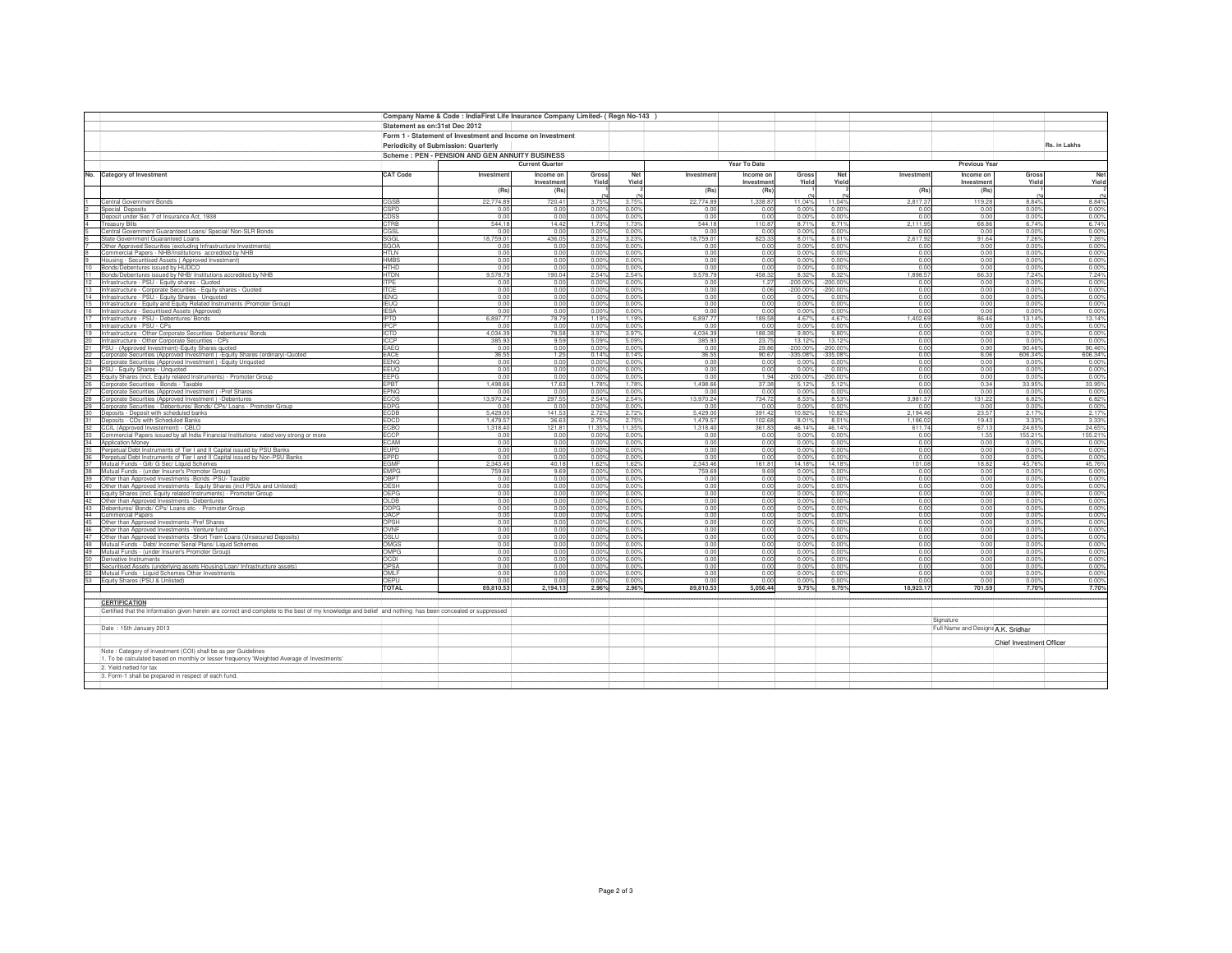|                 |                                                                                                                                                          |                                      | Company Name & Code : IndiaFirst Life Insurance Company Limited- ( Regn No-143 |                        |                         |                 |                      |                  |                  |                     |                    |                                    |                          |                  |  |
|-----------------|----------------------------------------------------------------------------------------------------------------------------------------------------------|--------------------------------------|--------------------------------------------------------------------------------|------------------------|-------------------------|-----------------|----------------------|------------------|------------------|---------------------|--------------------|------------------------------------|--------------------------|------------------|--|
|                 |                                                                                                                                                          | Statement as on:31st Dec 2012        |                                                                                |                        |                         |                 |                      |                  |                  |                     |                    |                                    |                          |                  |  |
|                 |                                                                                                                                                          |                                      | Form 1 - Statement of Investment and Income on Investment                      |                        |                         |                 |                      |                  |                  |                     |                    |                                    |                          |                  |  |
|                 |                                                                                                                                                          |                                      |                                                                                |                        |                         |                 |                      |                  |                  |                     |                    |                                    | Rs. in Lakhs             |                  |  |
|                 |                                                                                                                                                          | Periodicity of Submission: Quarterly |                                                                                |                        |                         |                 |                      |                  |                  |                     |                    |                                    |                          |                  |  |
|                 |                                                                                                                                                          |                                      | Scheme: PEN - PENSION AND GEN ANNUITY BUSINESS                                 |                        |                         |                 |                      |                  |                  |                     |                    |                                    |                          |                  |  |
|                 |                                                                                                                                                          |                                      |                                                                                | <b>Current Quarter</b> |                         |                 |                      | Year To Date     |                  |                     |                    | <b>Previous Year</b>               |                          |                  |  |
|                 | No. Category of Investment                                                                                                                               | <b>CAT Code</b>                      | Investment                                                                     | Income or              | Gross                   | <b>Net</b>      | Investment           | Income or        | Gross            | Net                 | Investment         | Income on                          | Gross                    | Net              |  |
|                 |                                                                                                                                                          |                                      |                                                                                | Investmen              | Yield                   | Yield           |                      | Investment       | Yield            | Yield               |                    | Investment                         | Yield                    | Yield            |  |
|                 |                                                                                                                                                          |                                      | (Rs)                                                                           | (Rs)                   |                         |                 | (Rs)                 | (Rs)             |                  |                     | (Rs)               | (Rs)                               |                          |                  |  |
|                 | Central Government Bonds                                                                                                                                 | CGSB                                 | 22,774.89                                                                      | 720.41                 | 3.75%                   | 3.75%           | 22,774.89            | 1,338.87         | 11.04%           | 11.04%              | 2,817.37           | 119.28                             | 8.84%                    | 8.84%            |  |
|                 | Special Deposits                                                                                                                                         | CSPD                                 | 0.00                                                                           | 0.00                   | 0.00%                   | 0.00%           | 0.00                 | 0.00             | 0.00%            | 0.00%               | 0.00               | 0.00                               | 0.00%                    | 0.00%            |  |
|                 | Deposit under Sec 7 of Insurance Act, 1938                                                                                                               | CDSS<br>CTRB                         | 0.00<br>544.18                                                                 | 0.00<br>14.42          | 0.00%<br>1.73%          | 0.00%<br>1.73%  | 0.00<br>544.18       | 0.00<br>110.87   | 0.00%<br>8.71%   | 0.00%<br>8.71%      | 0.00<br>2.111.95   | 0.00<br>68.86                      | 0.00%<br>6.74%           | 0.00%            |  |
|                 | <b>Treasury Bills</b><br>Central Government Guaranteed Loans/ Special/ Non-SLR Bonds                                                                     | CGSL                                 | 0.00                                                                           | 0.00                   | 0.00%                   | 0.00%           | 0.00                 | 0.00             | 0.00%            | 0.00%               | 0.00               | 0.00                               | 0.00%                    | 6.74%<br>0.00%   |  |
|                 | State Government Guaranteed Loans                                                                                                                        | SGGL                                 | 18,759.0                                                                       | 436.05                 | 3.23%                   | 3.23%           | 18,759.0             | 823.33           | 8.01%            | 8.01%               | 2,617.92           | 91.64                              | 7.26%                    | 7.26%            |  |
|                 | Other Approved Securities (excluding Infrastructure Investments)                                                                                         | SGOA                                 | 0.00                                                                           | 0.00                   | 0.00%                   | 0.00%           | 0.00                 | 0.00             | 0.00%            | 0.00%               | 0.00               | 0.00                               | 0.00%                    | 0.00%            |  |
|                 | Commercial Papers - NHB/Institutions accredited by NHB                                                                                                   | <b>HTLN</b>                          | 0.00                                                                           | 0.00                   | 0.00%                   | 0.00%           | 0.00                 | 0.00             | 0.00%            | 0.00%               | 0.00               | 0.00                               | 0.00%                    | 0.00%            |  |
|                 | Housing - Securitised Assets (Approved Investment)                                                                                                       | HMBS                                 | 0.00                                                                           | 0.00                   | 0.00%                   | 0.00%           | 0.00                 | 0.00             | 0.00%            | 0.00%               | 0.00               | 0.00                               | 0.00%                    | 0.00%            |  |
|                 | Bonds/Debentures issued by HUDCO<br>11 Bonds/Debentures issued by NHB/ Institutions accredited by NHB                                                    | <b>HTHD</b><br>HTDN                  | 0.00<br>9,578.79                                                               | 0.00<br>190.04         | 0.00%<br>2.54%          | 0.00%<br>2.54%  | 0.00<br>9,578.79     | 0.00<br>458.32   | 0.00%<br>8.32%   | 0.00%<br>8.32%      | 0.00<br>1.898.57   | 0.00<br>66.33                      | 0.00%<br>7.24%           | $0.00%$<br>7.24% |  |
| 12              | Infrastructure - PSU - Equity shares - Quoted                                                                                                            | TPE                                  | 0.00                                                                           | 0.00                   | 0.00%                   | 0.00%           | 0.00                 | 1.27             | $-200.00%$       | $-200.00%$          | 0.00               | 0.00                               | 0.00%                    | 0.00%            |  |
|                 | 13 Infrastructure - Corporate Securities - Equity shares - Quoted                                                                                        | <b>TCE</b>                           | 0.00                                                                           | 0.00                   | 0.00%                   | 0.00%           | 0.00                 | 0.06             | -200.00%         | $-200.00%$          | 0.00               | 0.00                               | 0.00%                    | 0.00%            |  |
|                 | 14 Infrastructure - PSU - Equity Shares - Unquoted                                                                                                       | <b>IENO</b>                          | 0.00                                                                           | 0.00                   | 0.00%                   | 0.00%           | 0.00                 | 0.00             | 0.00%            | 0.00%               | 0.00               | 0.00                               | 0.00%                    | 0.00%            |  |
|                 | 15 Infrastructure - Equity and Equity Related Instruments (Promoter Group)                                                                               | <b>IEUQ</b>                          | 0.00                                                                           | 0.00                   | 0.00%                   | 0.00%           | 0.00                 | 0.00             | 0.00%            | 0.00%               | 0.00               | 0.00                               | 0.00%                    | 0.00%            |  |
|                 | 16 Infrastructure - Securitised Assets (Approved)                                                                                                        | <b>IFSA</b>                          | 0.00                                                                           | 0.00                   | 0.00%                   | 0.00%<br>1 1 9% | 0.00<br>689777       | 0.00<br>189.58   | 0.00%            | 0.00%<br>4.67%      | 0.00               | 0.00<br>86.46                      | 0.00%                    | 0.00%            |  |
| 18              | 17 Infrastructure - PSU - Debentures/ Bonds<br>Infrastructure - PSU - CPs                                                                                | <b>IPTD</b><br>PCP                   | 6.897.77<br>0.01                                                               | 78.79<br>0.00          | 1.19%<br>0.00%          | 0.00%           | 0.0                  | 0.00             | 4.67%<br>0.00%   | 0.00%               | 1.402.69<br>0.00   | 0.00                               | 13.14%<br>0.00%          | 13.14%<br>0.00%  |  |
| 19              | Infrastructure - Other Corporate Securities- Debentures/ Bonds                                                                                           | <b>CTD</b>                           | 4,034.39                                                                       | 78.58                  | 3.97%                   | 3.97%           | 4,034.39             | 188.38           | 9.80%            | 9.80%               | 0.00               | 0.00                               | 0.00%                    | 0.00%            |  |
|                 | Infrastructure - Other Corporate Securities - CPs                                                                                                        | CCP                                  | 385.93                                                                         | 9.59                   | 5.09%                   | 5.09%           | 385.93               | 23.75            | 13.12%           | 13.12%              | 0.00               | 0.00                               | 0.00%                    | 0.00%            |  |
| $\overline{21}$ | PSU - (Approved Investment)-Equity Shares quoted                                                                                                         | EAEQ                                 | 0.00                                                                           | 0.00                   | 0.00%                   | 0.00%           | n no                 | 29.86            | $-200.00%$       | $-200.00%$          | 0.00               | 0.90                               | 90.46%                   | 90.46%           |  |
|                 | 22 Corporate Securities (Approved Investment) - Equity Shares (ordinary)-Quoted                                                                          | EACE                                 | 36.55                                                                          | 1.25                   | 0.14%                   | 0.14%           | 36.55                | 90.67            | 335.08%          | $-335.08%$          | 0.00               | 6.06                               | 606.34%                  | 606.34%          |  |
|                 | 23 Corporate Securities (Approved Investment) - Equity Unquoted                                                                                          | EENQ                                 | 0.00                                                                           | 0.00                   | 0.00%                   | 0.00%           | 0.00                 | 0.00             | 0.00%            | 0.00%               | 0.00<br>0.00       | 0.00                               | 0.00%                    | 0.00%<br>0.00%   |  |
|                 | 24 PSU - Equity Shares - Unquoted<br>25 Equity Shares (incl. Equity related Instruments) - Promoter Group                                                | EEUQ<br>EEPG                         | 0.00<br>0.00                                                                   | 0.00<br>0.00           | 0.00%<br>0.00%          | 0.00%<br>0.00%  | 0.00<br>0.00         | 0.00<br>1.94     | 0.00%<br>200.00% | 0.00%<br>$-200.00%$ | 0.00               | 0.00<br>0.00                       | 0.00%<br>0.00%           | 0.00%            |  |
|                 | 26 Corporate Securities - Bonds - Taxable                                                                                                                | <b>EPBT</b>                          | 1.498.66                                                                       | 17.63                  | 1.789                   | 1.78%           | 1.498.6              | 37.38            | 5.12%            | 5.12%               | 0.00               | 0.34                               | 33.95%                   | 33.95%           |  |
| $27 -$          | Corporate Securities (Approved Investment) -Pref Shares                                                                                                  | <b>EPNO</b>                          | 0.00                                                                           | 0.00                   | 0.00%                   | 0.00%           | 0.00                 | 0.00             | 0.00%            | 0.00%               | 0.00               | 0.00                               | 0.00%                    | 0.00%            |  |
|                 | Corporate Securities (Approved Investment) -Debentures                                                                                                   | COS                                  | 13,970.24                                                                      | 297.55                 | 2.54%                   | 2.54%           | 13,970.2             | 734.72           | 8.53%            | 8.53%               | 3,981.37           | 131.22                             | 6.82%                    | 6.82%            |  |
|                 | Corporate Securities - Debentures/ Bonds/ CPs/ Loans - Promoter Group                                                                                    | <b>EDPG</b>                          | 0.00                                                                           | 0.00                   | 0.00%                   | 0.00%           | 0.0(                 | 0.00             | 0.00%            | 0.00%               | 0.00               | 0.00                               | 0.00%                    | 0.00%            |  |
|                 | Deposits - Deposit with scheduled banks                                                                                                                  | CDB<br><b>EDCD</b>                   | 5,429.0                                                                        | 141.53<br>36.63        | $2.72^{\circ}$          | 2.72%           | 5,429.0              | 391.42<br>102.68 | 10.82%           | 10.82%              | 2,194.46           | 23.57                              | 2.179<br>3.33%           | $2.17%$<br>3.33% |  |
|                 | 31 Deposits - CDs with Scheduled Banks<br>32 CCIL (Approved Investement) - CBLO                                                                          | ECBO                                 | 1.479.57<br>1.318.40                                                           | 121.81                 | $2.75^{\circ}$<br>11.35 | 2.75%<br>11.35% | 1.479.57<br>1,318,40 | 361.83           | 8.01%<br>46.14%  | 8.01%<br>46.14%     | 1.186.02<br>611.74 | 19.43<br>67.13                     | 24.65%                   | 24.65%           |  |
|                 | 33 Commercial Papers issued by all India Financial Institutions rated very strong or more                                                                | ECCP                                 | 0.00                                                                           | 0.00                   | 0.00%                   | 0.00%           | 0.00                 | 0.00             | 0.00%            | 0.00%               | 0.00               | 1.55                               | 155.21%                  | 155.21%          |  |
|                 | 34 Application Money                                                                                                                                     | CAM:                                 | 0.00                                                                           | 0.00                   | 0.00%                   | 0.00%           | 0.00                 | 0.00             | 0.00%            | 0.00%               | 0.00               | 0.00                               | 0.00%                    | 0.00%            |  |
|                 | 35 Perpetual Debt Instruments of Tier I and II Capital issued by PSU Banks                                                                               | <b>EUPD</b>                          | 0.00                                                                           | 0.00                   | 0.00%                   | 0.00%           | 0.00                 | 0.00             | 0.00%            | 0.00%               | 0.00               | 0.00                               | 0.00%                    | 0.00%            |  |
|                 | 36 Perpetual Debt Instruments of Tier I and II Capital issued by Non-PSU Banks                                                                           | PPD:                                 | 0.00                                                                           | 0.00                   | 0.00%                   | 0.00%           | 0.0                  | 0.00             | 0.00%            | 0.00%               | 0.00               | 0.00                               | 0.00%                    | 0.00%            |  |
|                 | Mutual Funds - Gilt/ G Sec/ Liquid Schemes                                                                                                               | <b>GMF</b>                           | 2,343.46                                                                       | 40.18                  | 1.629                   | 1.62%           | 1343.46              | 161.81           | 14.18%           | 14.18%              | 101.08             | 18.82                              | 45.76%                   | 45.76%           |  |
|                 | Mutual Funds - (under Insurer's Promoter Group)                                                                                                          | MPG<br><b>DBPT</b>                   | 759.69                                                                         | 9.69<br>0.00           | 0.00%<br>0.00%          | 0.00%           | 759.6                | 9.69<br>0.00     | 0.00%<br>0.00%   | 0.00%<br>0.00%      | 0.00<br>0.00       | 0.00                               | 0.00%                    | 0.00%<br>0.00%   |  |
| 40              | Other than Approved Investments -Bonds -PSU- Taxable<br>Other than Approved Investments - Equity Shares (incl PSUs and Unlisted)                         | <b>JESH</b>                          | 0.00<br>0.00                                                                   | 0.00                   | $0.00^{\circ}$          | 0.00%<br>0.00%  | 0.0<br>0.0(          | 0.00             | 0.00%            | 0.00%               | 0.00               | 0.00<br>0.00                       | 0.00%<br>0.00%           | 0.00%            |  |
| 41              | Equity Shares (incl. Equity related Instruments) - Promoter Group                                                                                        | OEPG                                 | 0.00                                                                           | 0.00                   | 0.00%                   | 0.00%           | 0.00                 | 0.00             | 0.00%            | 0.00%               | 0.00               | 0.00                               | 0.00%                    | 0.00%            |  |
|                 | 42 Other than Approved Investments -Debentures                                                                                                           | <b>OLDB</b>                          | 0.00                                                                           | 0.00                   | 0.00%                   | 0.00%           | 0.00                 | 0.00             | 0.00%            | 0.00%               | 0.00               | 0.00                               | 0.00%                    | 0.00%            |  |
|                 | 43 Debentures/ Bonds/ CPs/ Loans etc. - Promoter Group                                                                                                   | ODPG                                 | 0.00                                                                           | 0.00                   | 0.00%                   | 0.00%           | 0.00                 | 0.00             | 0.00%            | 0.00%               | 0.00               | 0.00                               | 0.00%                    | 0.00%            |  |
|                 | 44 Commercial Papers                                                                                                                                     | OACP                                 | 0.00                                                                           | 0.00                   | 0.00%                   | 0.00%           | 0.00                 | 0.00             | 0.00%            | 0.00%               | 0.00               | 0.00                               | 0.00%                    | 0.00%            |  |
| 46              | 45 Other than Approved Investments -Pref Shares                                                                                                          | OPSH<br>OVNF                         | 0.00<br>0.00                                                                   | 0.00<br>0.00           | 0.00%<br>0.00%          | 0.00%<br>0.00%  | 0.00<br>0.00         | 0.00<br>0.00     | 0.00%<br>0.00%   | 0.00%<br>0.00%      | 0.00<br>0.00       | 0.00<br>0.00                       | 0.00%<br>0.00%           | 0.00<br>0.00%    |  |
|                 | Other than Approved Investments -Venture fund<br>Other than Approved Investments -Short Trem Loans (Unsecured Deposits)                                  | OSLU                                 | 0.00                                                                           | 0.00                   | 0.00%                   | 0.00%           | 0.00                 | 0.00             | 0.00%            | 0.00%               | 0.00               | 0.00                               | 0.00%                    | 0.00%            |  |
| 48              | Mutual Funds - Debt/ Income/ Serial Plans/ Liquid Schemes                                                                                                | OMGS                                 | 0.00                                                                           | 0.00                   | 0.00%                   | 0.00%           | 0.00                 | 0.00             | 0.00%            | 0.00%               | 0.00               | 0.00                               | 0.00%                    | 0.00%            |  |
|                 | 49 Mutual Funds - (under Insurer's Promoter Group)                                                                                                       | OMPG                                 | 0.00                                                                           | 0.00                   | 0.00%                   | 0.00%           | 0.00                 | 0.00             | 0.00%            | 0.00%               | 0.00               | 0.00                               | 0.00%                    | 0.00%            |  |
| 50              | Derivative Instruments                                                                                                                                   | ICOC                                 | 0.00                                                                           | 0.00                   | 0.00%                   | 0.00%           | 0.00                 | 0.00             | 0.00%            | 0.00%               | 0.00               | 0.00                               | 0.00%                    | 0.00%            |  |
|                 | Securitised Assets (underlying assets Housing Loan/ Infrastructure assets)                                                                               | OPSA                                 | 0.00                                                                           | 0.00                   | 0.00%                   | 0.00%           | 0.00                 | 0.00             | 0.00%            | 0.00%               | 0.00               | 0.00                               | 0.00%                    | 0.00%            |  |
|                 | Mutual Funds - Liquid Schemes Other Investments<br>53 Equity Shares (PSU & Unlisted)                                                                     | OMLF<br>DEPU                         | 0.00<br>0.00                                                                   | 0.00<br>0.00           | 0.00%<br>0.00%          | 0.00%<br>0.00%  | 0.00<br>0.00         | 0.00<br>0.00     | 0.00%<br>0.00%   | 0.00%<br>0.00%      | 0.00<br>0.00       | 0.00<br>0.00                       | 0.00%<br>0.00%           | 0.00%<br>0.00%   |  |
|                 |                                                                                                                                                          | <b>TOTAL</b>                         | 89,810.53                                                                      | 2,194.13               | 2.96%                   | 2.96%           | 89,810.53            | 5,056.44         | 9.75%            | 9.75%               | 18,923.17          | 701.59                             | 7.70%                    | 7.70%            |  |
|                 |                                                                                                                                                          |                                      |                                                                                |                        |                         |                 |                      |                  |                  |                     |                    |                                    |                          |                  |  |
|                 | <b>CERTIFICATION</b>                                                                                                                                     |                                      |                                                                                |                        |                         |                 |                      |                  |                  |                     |                    |                                    |                          |                  |  |
|                 | Certified that the information given herein are correct and complete to the best of my knowledge and belief and nothing has been concealed or suppressed |                                      |                                                                                |                        |                         |                 |                      |                  |                  |                     |                    |                                    |                          |                  |  |
|                 |                                                                                                                                                          |                                      |                                                                                |                        |                         |                 |                      |                  |                  |                     |                    | Signature                          |                          |                  |  |
|                 | Date: 15th January 2013                                                                                                                                  |                                      |                                                                                |                        |                         |                 |                      |                  |                  |                     |                    | Full Name and Designa A.K. Sridhar |                          |                  |  |
|                 |                                                                                                                                                          |                                      |                                                                                |                        |                         |                 |                      |                  |                  |                     |                    |                                    |                          |                  |  |
|                 |                                                                                                                                                          |                                      |                                                                                |                        |                         |                 |                      |                  |                  |                     |                    |                                    | Chief Investment Officer |                  |  |
|                 | Note : Category of investment (COI) shall be as per Guidelines                                                                                           |                                      |                                                                                |                        |                         |                 |                      |                  |                  |                     |                    |                                    |                          |                  |  |
|                 | 1. To be calculated based on monthly or lesser frequency 'Weighted Average of Investments'                                                               |                                      |                                                                                |                        |                         |                 |                      |                  |                  |                     |                    |                                    |                          |                  |  |
|                 | 2. Yield netted for tax<br>3. Form-1 shall be prepared in respect of each fund.                                                                          |                                      |                                                                                |                        |                         |                 |                      |                  |                  |                     |                    |                                    |                          |                  |  |
|                 |                                                                                                                                                          |                                      |                                                                                |                        |                         |                 |                      |                  |                  |                     |                    |                                    |                          |                  |  |
|                 |                                                                                                                                                          |                                      |                                                                                |                        |                         |                 |                      |                  |                  |                     |                    |                                    |                          |                  |  |